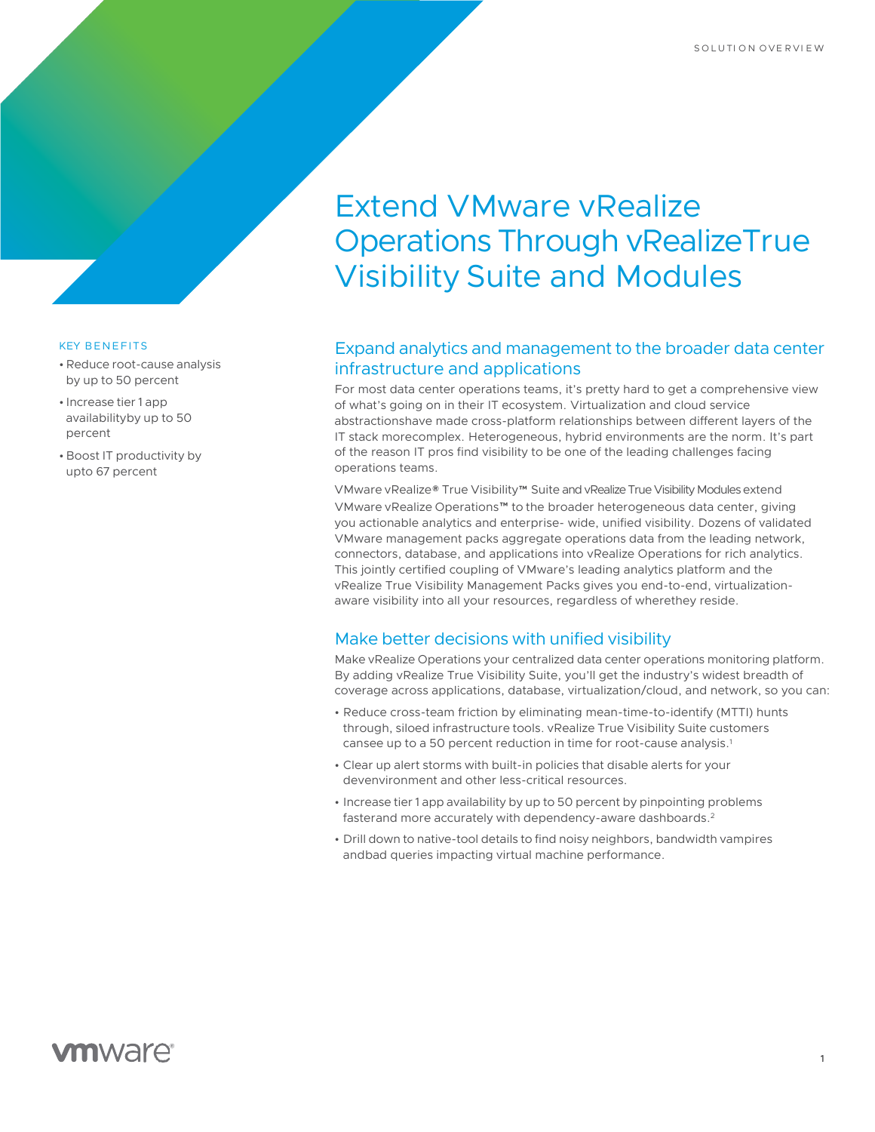# Extend VMware vRealize Operations Through vRealizeTrue Visibility Suite and Modules

## Expand analytics and management to the broader data center infrastructure and applications

For most data center operations teams, it's pretty hard to get a comprehensive view of what's going on in their IT ecosystem. Virtualization and cloud service abstractionshave made cross-platform relationships between different layers of the IT stack morecomplex. Heterogeneous, hybrid environments are the norm. It's part of the reason IT pros find visibility to be one of the leading challenges facing operations teams.

VMware vRealize® True Visibility™ Suite and vRealize True Visibility Modules extend VMware vRealize Operations™ to the broader heterogeneous data center, giving you actionable analytics and enterprise- wide, unified visibility. Dozens of validated VMware management packs aggregate operations data from the leading network, connectors, database, and applications into vRealize Operations for rich analytics. This jointly certified coupling of VMware's leading analytics platform and the vRealize True Visibility Management Packs gives you end-to-end, virtualizationaware visibility into all your resources, regardless of wherethey reside.

### Make better decisions with unified visibility

Make vRealize Operations your centralized data center operations monitoring platform. By adding vRealize True Visibility Suite, you'll get the industry's widest breadth of coverage across applications, database, virtualization/cloud, and network, so you can:

- Reduce cross-team friction by eliminating mean-time-to-identify (MTTI) hunts through, siloed infrastructure tools. vRealize True Visibility Suite customers cansee up to a 50 percent reduction in time for root-cause analysis.1
- Clear up alert storms with built-in policies that disable alerts for your devenvironment and other less-critical resources.
- Increase tier 1 app availability by up to 50 percent by pinpointing problems fasterand more accurately with dependency-aware dashboards.2
- Drill down to native-tool details to find noisy neighbors, bandwidth vampires andbad queries impacting virtual machine performance.

#### KEY BENEFITS

- •Reduce root-cause analysis by up to 50 percent
- Increase tier 1 app availabilityby up to 50 percent
- Boost IT productivity by upto 67 percent

# **vm**ware<sup>®</sup>